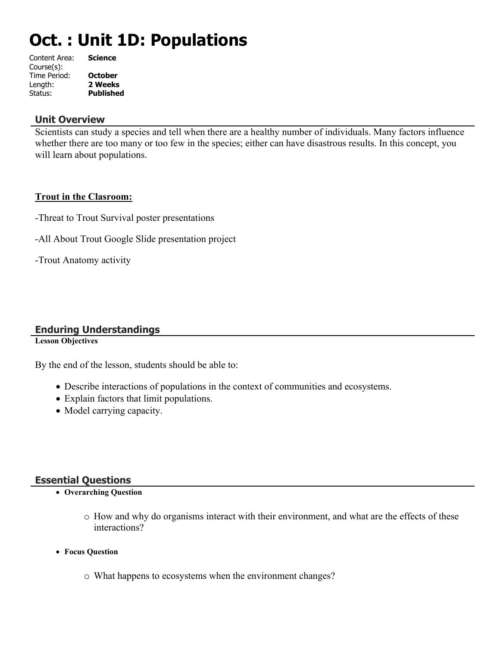# **Oct. : Unit 1D: Populations**

| Content Area: | <b>Science</b>   |
|---------------|------------------|
| Course(s):    |                  |
| Time Period:  | <b>October</b>   |
| Length:       | 2 Weeks          |
| Status:       | <b>Published</b> |
|               |                  |

### **Unit Overview**

Scientists can study a species and tell when there are a healthy number of individuals. Many factors influence whether there are too many or too few in the species; either can have disastrous results. In this concept, you will learn about populations.

### **Trout in the Clasroom:**

- -Threat to Trout Survival poster presentations
- -All About Trout Google Slide presentation project
- -Trout Anatomy activity

### **Enduring Understandings**

**Lesson Objectives**

By the end of the lesson, students should be able to:

- Describe interactions of populations in the context of communities and ecosystems.
- Explain factors that limit populations.
- Model carrying capacity.

### **Essential Questions**

- **Overarching Question**
	- o How and why do organisms interact with their environment, and what are the effects of these interactions?
- **Focus Question**
	- o What happens to ecosystems when the environment changes?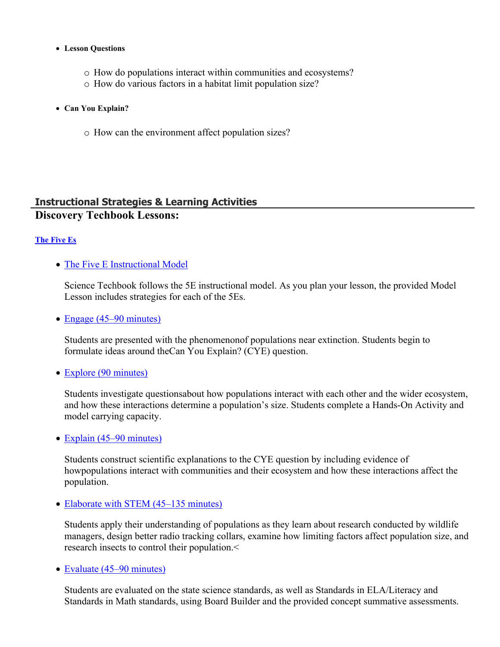### **Lesson Questions**

- o How do populations interact within communities and ecosystems?
- o How do various factors in a habitat limit population size?
- **Can You Explain?**
	- o How can the environment affect population sizes?

### **Instructional Strategies & Learning Activities Discovery Techbook Lessons:**

### **[The Five Es](https://app.discoveryeducation.com/learn/techbook/units/2d17fe2c-67ce-4ea9-b1d2-b5c4b4106ba8/concepts/968fc1d0-9b4a-4526-800c-8227164e90d0/lesson/sections/02d0ee2a-6506-4513-bd0b-e3e1b942b357)**

• [The Five E Instructional Model](https://app.discoveryeducation.com/learn/techbook/units/2d17fe2c-67ce-4ea9-b1d2-b5c4b4106ba8/concepts/968fc1d0-9b4a-4526-800c-8227164e90d0/lesson/sections/02d0ee2a-6506-4513-bd0b-e3e1b942b357#1e706d51-d5d9-4e54-a707-be045b25ff5c)

Science Techbook follows the 5E instructional model. As you plan your lesson, the provided Model Lesson includes strategies for each of the 5Es.

• [Engage \(45–90 minutes\)](https://app.discoveryeducation.com/learn/techbook/units/2d17fe2c-67ce-4ea9-b1d2-b5c4b4106ba8/concepts/968fc1d0-9b4a-4526-800c-8227164e90d0/lesson/sections/02d0ee2a-6506-4513-bd0b-e3e1b942b357#7c7d60a1-79cb-4ffe-b8fd-30c807cd3966)

Students are presented with the phenomenonof populations near extinction. Students begin to formulate ideas around theCan You Explain? (CYE) question.

### • [Explore \(90 minutes\)](https://app.discoveryeducation.com/learn/techbook/units/2d17fe2c-67ce-4ea9-b1d2-b5c4b4106ba8/concepts/968fc1d0-9b4a-4526-800c-8227164e90d0/lesson/sections/02d0ee2a-6506-4513-bd0b-e3e1b942b357#4f17e562-6672-4783-b9f5-39804d1cbc08)

Students investigate questionsabout how populations interact with each other and the wider ecosystem, and how these interactions determine a population's size. Students complete a Hands-On Activity and model carrying capacity.

• [Explain \(45–90 minutes\)](https://app.discoveryeducation.com/learn/techbook/units/2d17fe2c-67ce-4ea9-b1d2-b5c4b4106ba8/concepts/968fc1d0-9b4a-4526-800c-8227164e90d0/lesson/sections/02d0ee2a-6506-4513-bd0b-e3e1b942b357#2652faf4-e998-4c56-a695-a75b56f88541)

Students construct scientific explanations to the CYE question by including evidence of howpopulations interact with communities and their ecosystem and how these interactions affect the population.

### • [Elaborate with STEM \(45–135 minutes\)](https://app.discoveryeducation.com/learn/techbook/units/2d17fe2c-67ce-4ea9-b1d2-b5c4b4106ba8/concepts/968fc1d0-9b4a-4526-800c-8227164e90d0/lesson/sections/02d0ee2a-6506-4513-bd0b-e3e1b942b357#f7fdf0a8-8018-438c-baca-babaca159c38)

Students apply their understanding of populations as they learn about research conducted by wildlife managers, design better radio tracking collars, examine how limiting factors affect population size, and research insects to control their population.<

• [Evaluate \(45–90 minutes\)](https://app.discoveryeducation.com/learn/techbook/units/2d17fe2c-67ce-4ea9-b1d2-b5c4b4106ba8/concepts/968fc1d0-9b4a-4526-800c-8227164e90d0/lesson/sections/02d0ee2a-6506-4513-bd0b-e3e1b942b357#93a888b7-c275-409a-947c-8b7bcfcdfc2d)

Students are evaluated on the state science standards, as well as Standards in ELA/Literacy and Standards in Math standards, using Board Builder and the provided concept summative assessments.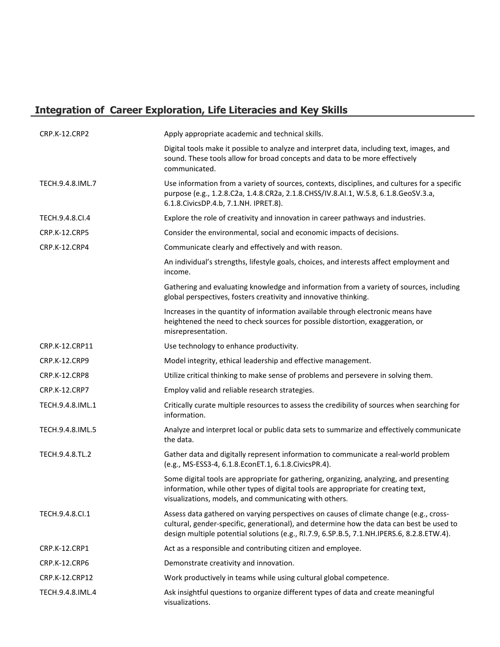# **Integration of Career Exploration, Life Literacies and Key Skills**

| CRP.K-12.CRP2        | Apply appropriate academic and technical skills.                                                                                                                                                                                                                                 |
|----------------------|----------------------------------------------------------------------------------------------------------------------------------------------------------------------------------------------------------------------------------------------------------------------------------|
|                      | Digital tools make it possible to analyze and interpret data, including text, images, and<br>sound. These tools allow for broad concepts and data to be more effectively<br>communicated.                                                                                        |
| TECH.9.4.8.IML.7     | Use information from a variety of sources, contexts, disciplines, and cultures for a specific<br>purpose (e.g., 1.2.8.C2a, 1.4.8.CR2a, 2.1.8.CHSS/IV.8.AI.1, W.5.8, 6.1.8.GeoSV.3.a,<br>6.1.8. Civics DP.4.b, 7.1. NH. IPRET.8).                                                 |
| TECH.9.4.8.CI.4      | Explore the role of creativity and innovation in career pathways and industries.                                                                                                                                                                                                 |
| <b>CRP.K-12.CRP5</b> | Consider the environmental, social and economic impacts of decisions.                                                                                                                                                                                                            |
| CRP.K-12.CRP4        | Communicate clearly and effectively and with reason.                                                                                                                                                                                                                             |
|                      | An individual's strengths, lifestyle goals, choices, and interests affect employment and<br>income.                                                                                                                                                                              |
|                      | Gathering and evaluating knowledge and information from a variety of sources, including<br>global perspectives, fosters creativity and innovative thinking.                                                                                                                      |
|                      | Increases in the quantity of information available through electronic means have<br>heightened the need to check sources for possible distortion, exaggeration, or<br>misrepresentation.                                                                                         |
| CRP.K-12.CRP11       | Use technology to enhance productivity.                                                                                                                                                                                                                                          |
| <b>CRP.K-12.CRP9</b> | Model integrity, ethical leadership and effective management.                                                                                                                                                                                                                    |
| <b>CRP.K-12.CRP8</b> | Utilize critical thinking to make sense of problems and persevere in solving them.                                                                                                                                                                                               |
| CRP.K-12.CRP7        | Employ valid and reliable research strategies.                                                                                                                                                                                                                                   |
| TECH.9.4.8.IML.1     | Critically curate multiple resources to assess the credibility of sources when searching for<br>information.                                                                                                                                                                     |
| TECH.9.4.8.IML.5     | Analyze and interpret local or public data sets to summarize and effectively communicate<br>the data.                                                                                                                                                                            |
| TECH.9.4.8.TL.2      | Gather data and digitally represent information to communicate a real-world problem<br>(e.g., MS-ESS3-4, 6.1.8.EconET.1, 6.1.8.CivicsPR.4).                                                                                                                                      |
|                      | Some digital tools are appropriate for gathering, organizing, analyzing, and presenting<br>information, while other types of digital tools are appropriate for creating text,<br>visualizations, models, and communicating with others.                                          |
| TECH.9.4.8.Cl.1      | Assess data gathered on varying perspectives on causes of climate change (e.g., cross-<br>cultural, gender-specific, generational), and determine how the data can best be used to<br>design multiple potential solutions (e.g., RI.7.9, 6.SP.B.5, 7.1.NH.IPERS.6, 8.2.8.ETW.4). |
| CRP.K-12.CRP1        | Act as a responsible and contributing citizen and employee.                                                                                                                                                                                                                      |
| <b>CRP.K-12.CRP6</b> | Demonstrate creativity and innovation.                                                                                                                                                                                                                                           |
| CRP.K-12.CRP12       | Work productively in teams while using cultural global competence.                                                                                                                                                                                                               |
| TECH.9.4.8.IML.4     | Ask insightful questions to organize different types of data and create meaningful<br>visualizations.                                                                                                                                                                            |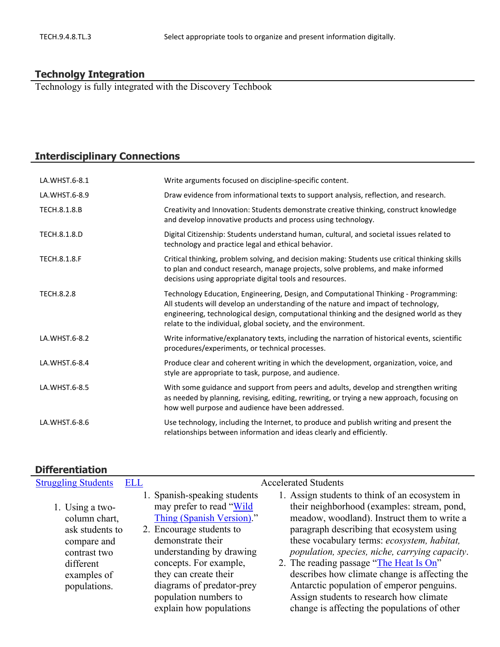## **Technolgy Integration**

Technology is fully integrated with the Discovery Techbook

# **Interdisciplinary Connections**

| LA.WHST.6-8.1       | Write arguments focused on discipline-specific content.                                                                                                                                                                                                                                                                                  |
|---------------------|------------------------------------------------------------------------------------------------------------------------------------------------------------------------------------------------------------------------------------------------------------------------------------------------------------------------------------------|
| LA.WHST.6-8.9       | Draw evidence from informational texts to support analysis, reflection, and research.                                                                                                                                                                                                                                                    |
| TECH.8.1.8.B        | Creativity and Innovation: Students demonstrate creative thinking, construct knowledge<br>and develop innovative products and process using technology.                                                                                                                                                                                  |
| TECH.8.1.8.D        | Digital Citizenship: Students understand human, cultural, and societal issues related to<br>technology and practice legal and ethical behavior.                                                                                                                                                                                          |
| <b>TECH.8.1.8.F</b> | Critical thinking, problem solving, and decision making: Students use critical thinking skills<br>to plan and conduct research, manage projects, solve problems, and make informed<br>decisions using appropriate digital tools and resources.                                                                                           |
| <b>TECH.8.2.8</b>   | Technology Education, Engineering, Design, and Computational Thinking - Programming:<br>All students will develop an understanding of the nature and impact of technology,<br>engineering, technological design, computational thinking and the designed world as they<br>relate to the individual, global society, and the environment. |
| LA.WHST.6-8.2       | Write informative/explanatory texts, including the narration of historical events, scientific<br>procedures/experiments, or technical processes.                                                                                                                                                                                         |
| LA.WHST.6-8.4       | Produce clear and coherent writing in which the development, organization, voice, and<br>style are appropriate to task, purpose, and audience.                                                                                                                                                                                           |
| LA.WHST.6-8.5       | With some guidance and support from peers and adults, develop and strengthen writing<br>as needed by planning, revising, editing, rewriting, or trying a new approach, focusing on<br>how well purpose and audience have been addressed.                                                                                                 |
| LA.WHST.6-8.6       | Use technology, including the Internet, to produce and publish writing and present the<br>relationships between information and ideas clearly and efficiently.                                                                                                                                                                           |

### **Differentiation**

| <b>Struggling Students</b> | <b>ELL</b> |                              | <b>Accelerated Students</b>                    |
|----------------------------|------------|------------------------------|------------------------------------------------|
|                            |            | 1. Spanish-speaking students | 1. Assign students to think of an ecosystem in |
| 1. Using a two-            |            | may prefer to read "Wild"    | their neighborhood (examples: stream, pond,    |
| column chart,              |            | Thing (Spanish Version)."    | meadow, woodland). Instruct them to write a    |
| ask students to            |            | 2. Encourage students to     | paragraph describing that ecosystem using      |
| compare and                |            | demonstrate their            | these vocabulary terms: ecosystem, habitat,    |
| contrast two               |            | understanding by drawing     | population, species, niche, carrying capacity. |
| different                  |            | concepts. For example,       | 2. The reading passage "The Heat Is On"        |
| examples of                |            | they can create their        | describes how climate change is affecting the  |
| populations.               |            | diagrams of predator-prey    | Antarctic population of emperor penguins.      |
|                            |            | population numbers to        | Assign students to research how climate        |
|                            |            | explain how populations      | change is affecting the populations of other   |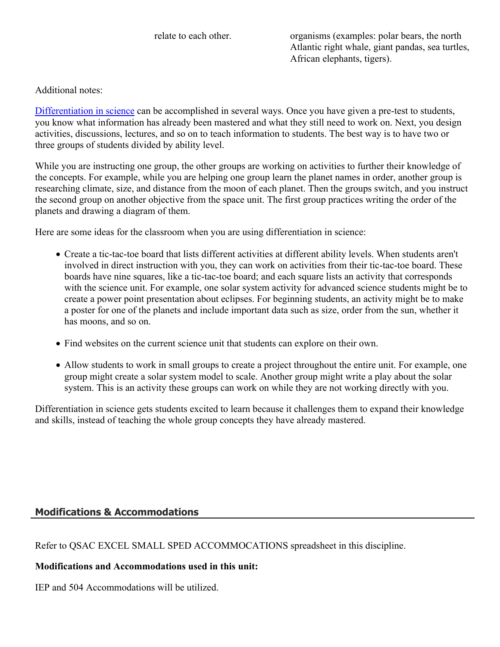relate to each other. organisms (examples: polar bears, the north Atlantic right whale, giant pandas, sea turtles, African elephants, tigers).

Additional notes:

[Differentiation in science](http://www.brighthubeducation.com/teaching-gifted-students/65181-differentiation-techniques-and-activities-in-the-classroom-for-gifted-students/) can be accomplished in several ways. Once you have given a pre-test to students, you know what information has already been mastered and what they still need to work on. Next, you design activities, discussions, lectures, and so on to teach information to students. The best way is to have two or three groups of students divided by ability level.

While you are instructing one group, the other groups are working on activities to further their knowledge of the concepts. For example, while you are helping one group learn the planet names in order, another group is researching climate, size, and distance from the moon of each planet. Then the groups switch, and you instruct the second group on another objective from the space unit. The first group practices writing the order of the planets and drawing a diagram of them.

Here are some ideas for the classroom when you are using differentiation in science:

- Create a tic-tac-toe board that lists different activities at different ability levels. When students aren't involved in direct instruction with you, they can work on activities from their tic-tac-toe board. These boards have nine squares, like a tic-tac-toe board; and each square lists an activity that corresponds with the science unit. For example, one solar system activity for advanced science students might be to create a power point presentation about eclipses. For beginning students, an activity might be to make a poster for one of the planets and include important data such as size, order from the sun, whether it has moons, and so on.
- Find websites on the current science unit that students can explore on their own.
- Allow students to work in small groups to create a project throughout the entire unit. For example, one group might create a solar system model to scale. Another group might write a play about the solar system. This is an activity these groups can work on while they are not working directly with you.

Differentiation in science gets students excited to learn because it challenges them to expand their knowledge and skills, instead of teaching the whole group concepts they have already mastered.

### **Modifications & Accommodations**

Refer to QSAC EXCEL SMALL SPED ACCOMMOCATIONS spreadsheet in this discipline.

### **Modifications and Accommodations used in this unit:**

IEP and 504 Accommodations will be utilized.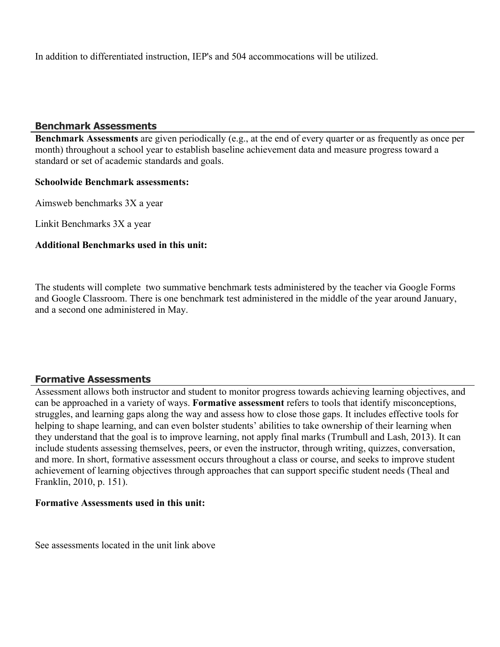In addition to differentiated instruction, IEP's and 504 accommocations will be utilized.

### **Benchmark Assessments**

**Benchmark Assessments** are given periodically (e.g., at the end of every quarter or as frequently as once per month) throughout a school year to establish baseline achievement data and measure progress toward a standard or set of academic standards and goals.

### **Schoolwide Benchmark assessments:**

Aimsweb benchmarks 3X a year

Linkit Benchmarks 3X a year

### **Additional Benchmarks used in this unit:**

The students will complete two summative benchmark tests administered by the teacher via Google Forms and Google Classroom. There is one benchmark test administered in the middle of the year around January, and a second one administered in May.

### **Formative Assessments**

Assessment allows both instructor and student to monitor progress towards achieving learning objectives, and can be approached in a variety of ways. **Formative assessment** refers to tools that identify misconceptions, struggles, and learning gaps along the way and assess how to close those gaps. It includes effective tools for helping to shape learning, and can even bolster students' abilities to take ownership of their learning when they understand that the goal is to improve learning, not apply final marks (Trumbull and Lash, 2013). It can include students assessing themselves, peers, or even the instructor, through writing, quizzes, conversation, and more. In short, formative assessment occurs throughout a class or course, and seeks to improve student achievement of learning objectives through approaches that can support specific student needs (Theal and Franklin, 2010, p. 151).

### **Formative Assessments used in this unit:**

See assessments located in the unit link above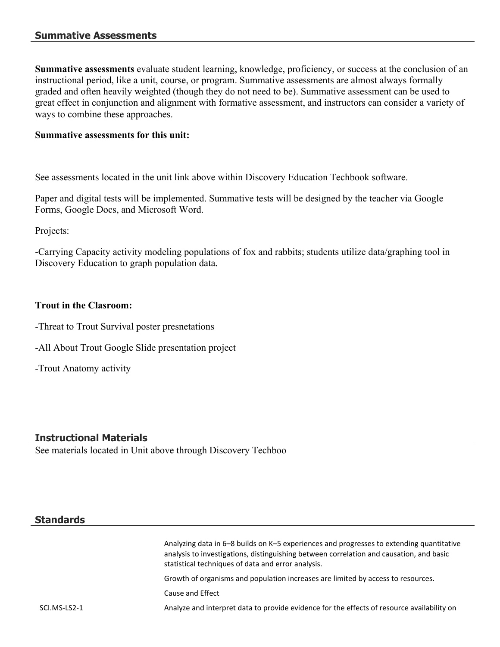### **Summative Assessments**

**Summative assessments** evaluate student learning, knowledge, proficiency, or success at the conclusion of an instructional period, like a unit, course, or program. Summative assessments are almost always formally graded and often heavily weighted (though they do not need to be). Summative assessment can be used to great effect in conjunction and alignment with formative assessment, and instructors can consider a variety of ways to combine these approaches.

### **Summative assessments for this unit:**

See assessments located in the unit link above within Discovery Education Techbook software.

Paper and digital tests will be implemented. Summative tests will be designed by the teacher via Google Forms, Google Docs, and Microsoft Word.

Projects:

-Carrying Capacity activity modeling populations of fox and rabbits; students utilize data/graphing tool in Discovery Education to graph population data.

### **Trout in the Clasroom:**

- -Threat to Trout Survival poster presnetations
- -All About Trout Google Slide presentation project
- -Trout Anatomy activity

### **Instructional Materials**

See materials located in Unit above through Discovery Techboo

### **Standards**

Analyzing data in 6–8 builds on K–5 experiences and progresses to extending quantitative analysis to investigations, distinguishing between correlation and causation, and basic statistical techniques of data and error analysis.

Growth of organisms and population increases are limited by access to resources.

Cause and Effect

SCI.MS-LS2-1 Analyze and interpret data to provide evidence for the effects of resource availability on